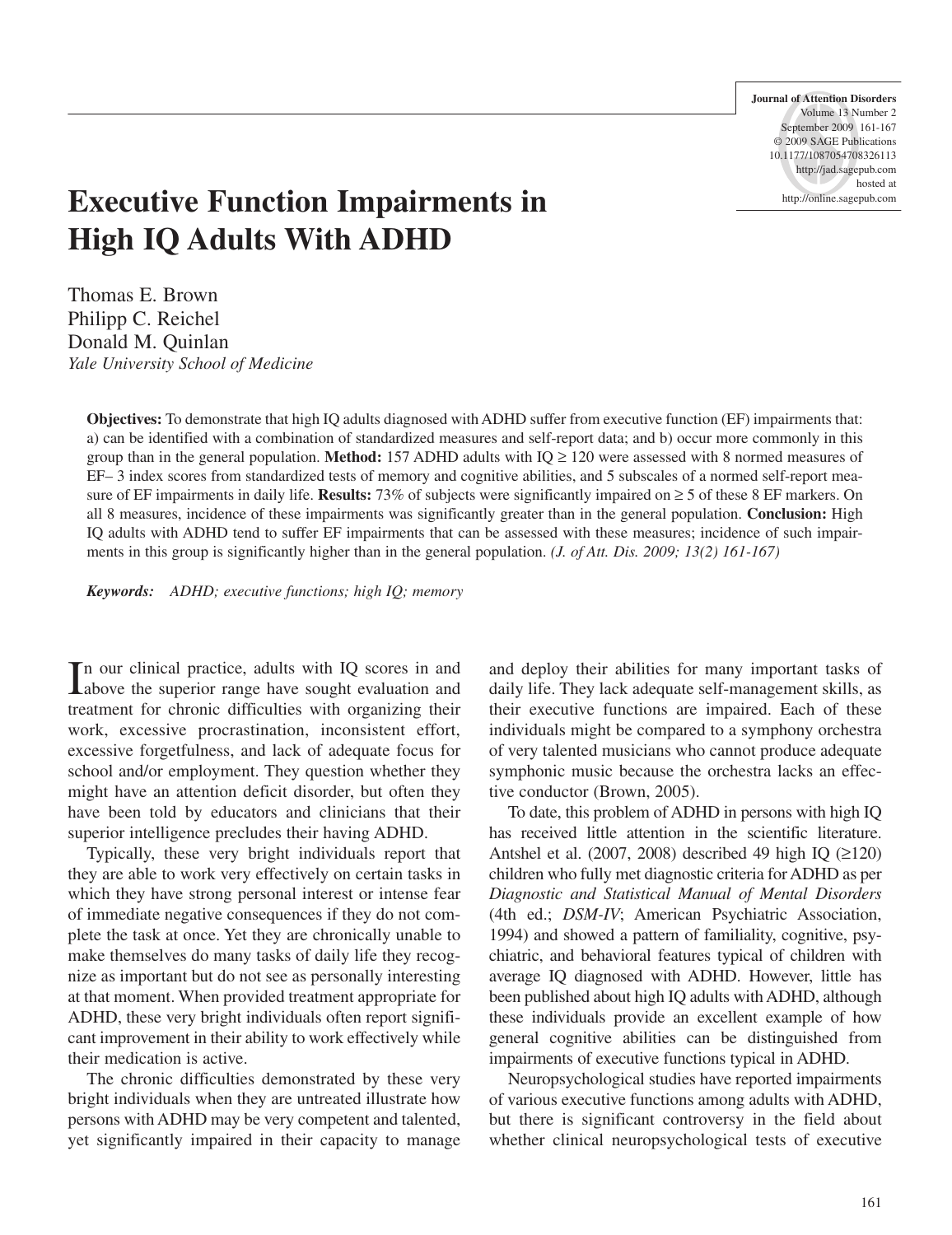**Journal of Attention Disorders** Volume 13 Number 2 September 2009 161-167 © 2009 SAGE Publications 10.1177/1087054708326113 http://jad.sagepub.com hosted at http://online.sagepub.com

# **Executive Function Impairments in High IQ Adults With ADHD**

Thomas E. Brown Philipp C. Reichel Donald M. Quinlan *Yale University School of Medicine*

**Objectives:** To demonstrate that high IQ adults diagnosed with ADHD suffer from executive function (EF) impairments that: a) can be identified with a combination of standardized measures and self-report data; and b) occur more commonly in this group than in the general population. **Method:** 157 ADHD adults with  $IQ \ge 120$  were assessed with 8 normed measures of EF– 3 index scores from standardized tests of memory and cognitive abilities, and 5 subscales of a normed self-report measure of EF impairments in daily life. **Results:** 73% of subjects were significantly impaired on  $\geq$  5 of these 8 EF markers. On all 8 measures, incidence of these impairments was significantly greater than in the general population. **Conclusion:** High IQ adults with ADHD tend to suffer EF impairments that can be assessed with these measures; incidence of such impairments in this group is significantly higher than in the general population. *(J. of Att. Dis. 2009; 13(2) 161-167)*

*Keywords: ADHD; executive functions; high IQ; memory*

In our clinical practice, adults with IQ scores in and<br>dabove the superior range have sought evaluation and above the superior range have sought evaluation and treatment for chronic difficulties with organizing their work, excessive procrastination, inconsistent effort, excessive forgetfulness, and lack of adequate focus for school and/or employment. They question whether they might have an attention deficit disorder, but often they have been told by educators and clinicians that their superior intelligence precludes their having ADHD.

Typically, these very bright individuals report that they are able to work very effectively on certain tasks in which they have strong personal interest or intense fear of immediate negative consequences if they do not complete the task at once. Yet they are chronically unable to make themselves do many tasks of daily life they recognize as important but do not see as personally interesting at that moment. When provided treatment appropriate for ADHD, these very bright individuals often report significant improvement in their ability to work effectively while their medication is active.

The chronic difficulties demonstrated by these very bright individuals when they are untreated illustrate how persons with ADHD may be very competent and talented, yet significantly impaired in their capacity to manage and deploy their abilities for many important tasks of daily life. They lack adequate self-management skills, as their executive functions are impaired. Each of these individuals might be compared to a symphony orchestra of very talented musicians who cannot produce adequate symphonic music because the orchestra lacks an effective conductor (Brown, 2005).

To date, this problem of ADHD in persons with high IQ has received little attention in the scientific literature. Antshel et al.  $(2007, 2008)$  described 49 high IQ  $(2120)$ children who fully met diagnostic criteria for ADHD as per *Diagnostic and Statistical Manual of Mental Disorders*  (4th ed.; *DSM-IV*; American Psychiatric Association, 1994) and showed a pattern of familiality, cognitive, psychiatric, and behavioral features typical of children with average IQ diagnosed with ADHD. However, little has been published about high IQ adults with ADHD, although these individuals provide an excellent example of how general cognitive abilities can be distinguished from impairments of executive functions typical in ADHD.

Neuropsychological studies have reported impairments of various executive functions among adults with ADHD, but there is significant controversy in the field about whether clinical neuropsychological tests of executive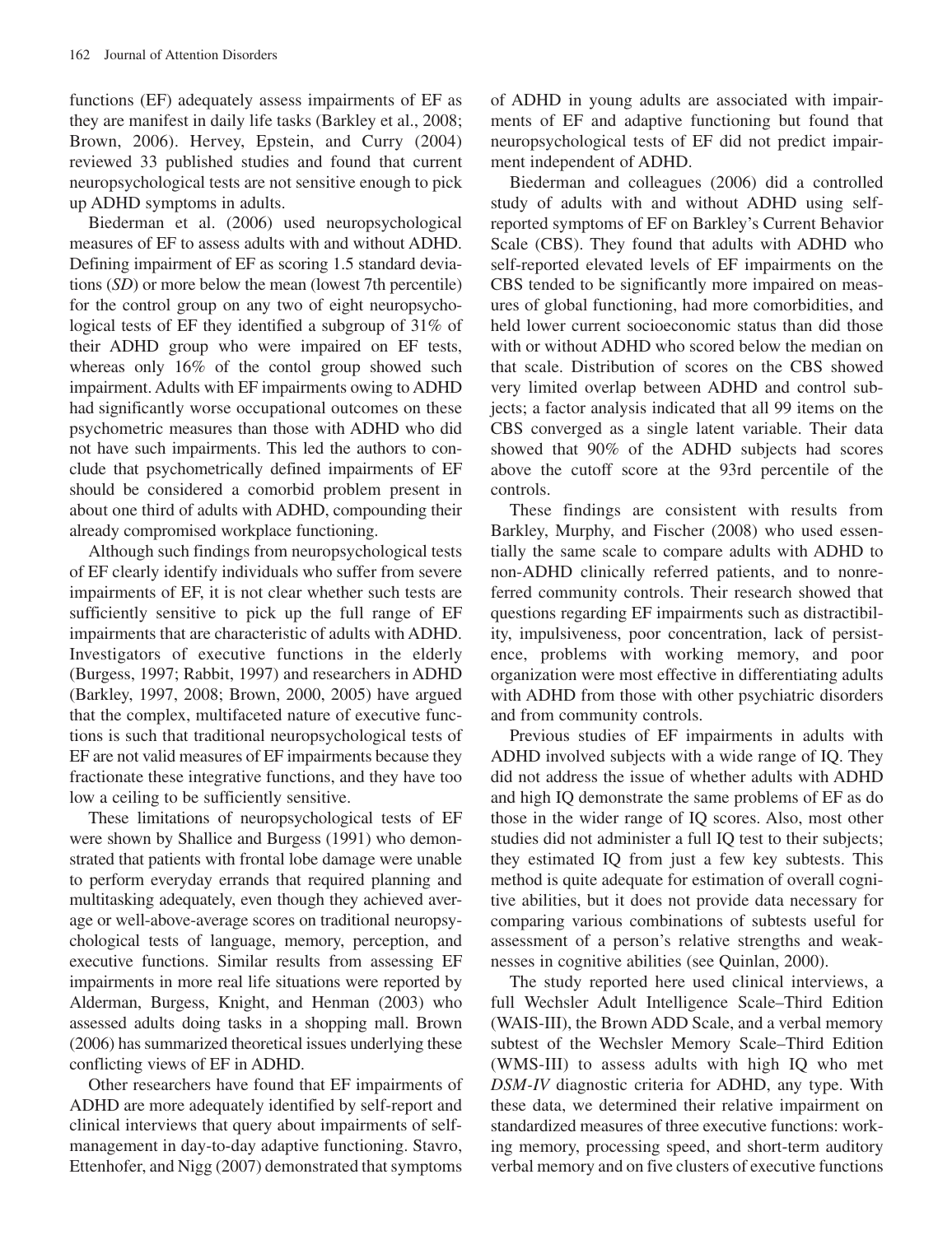functions (EF) adequately assess impairments of EF as they are manifest in daily life tasks (Barkley et al., 2008; Brown, 2006). Hervey, Epstein, and Curry (2004) reviewed 33 published studies and found that current neuropsychological tests are not sensitive enough to pick up ADHD symptoms in adults.

Biederman et al. (2006) used neuropsychological measures of EF to assess adults with and without ADHD. Defining impairment of EF as scoring 1.5 standard deviations (*SD*) or more below the mean (lowest 7th percentile) for the control group on any two of eight neuropsychological tests of EF they identified a subgroup of 31% of their ADHD group who were impaired on EF tests, whereas only 16% of the contol group showed such impairment. Adults with EF impairments owing to ADHD had significantly worse occupational outcomes on these psychometric measures than those with ADHD who did not have such impairments. This led the authors to conclude that psychometrically defined impairments of EF should be considered a comorbid problem present in about one third of adults with ADHD, compounding their already compromised workplace functioning.

Although such findings from neuropsychological tests of EF clearly identify individuals who suffer from severe impairments of EF, it is not clear whether such tests are sufficiently sensitive to pick up the full range of EF impairments that are characteristic of adults with ADHD. Investigators of executive functions in the elderly (Burgess, 1997; Rabbit, 1997) and researchers in ADHD (Barkley, 1997, 2008; Brown, 2000, 2005) have argued that the complex, multifaceted nature of executive functions is such that traditional neuropsychological tests of EF are not valid measures of EF impairments because they fractionate these integrative functions, and they have too low a ceiling to be sufficiently sensitive.

These limitations of neuropsychological tests of EF were shown by Shallice and Burgess (1991) who demonstrated that patients with frontal lobe damage were unable to perform everyday errands that required planning and multitasking adequately, even though they achieved average or well-above-average scores on traditional neuropsychological tests of language, memory, perception, and executive functions. Similar results from assessing EF impairments in more real life situations were reported by Alderman, Burgess, Knight, and Henman (2003) who assessed adults doing tasks in a shopping mall. Brown (2006) has summarized theoretical issues underlying these conflicting views of EF in ADHD.

Other researchers have found that EF impairments of ADHD are more adequately identified by self-report and clinical interviews that query about impairments of selfmanagement in day-to-day adaptive functioning. Stavro, Ettenhofer, and Nigg (2007) demonstrated that symptoms

of ADHD in young adults are associated with impairments of EF and adaptive functioning but found that neuropsychological tests of EF did not predict impairment independent of ADHD.

Biederman and colleagues (2006) did a controlled study of adults with and without ADHD using selfreported symptoms of EF on Barkley's Current Behavior Scale (CBS). They found that adults with ADHD who self-reported elevated levels of EF impairments on the CBS tended to be significantly more impaired on measures of global functioning, had more comorbidities, and held lower current socioeconomic status than did those with or without ADHD who scored below the median on that scale. Distribution of scores on the CBS showed very limited overlap between ADHD and control subjects; a factor analysis indicated that all 99 items on the CBS converged as a single latent variable. Their data showed that 90% of the ADHD subjects had scores above the cutoff score at the 93rd percentile of the controls.

These findings are consistent with results from Barkley, Murphy, and Fischer (2008) who used essentially the same scale to compare adults with ADHD to non-ADHD clinically referred patients, and to nonreferred community controls. Their research showed that questions regarding EF impairments such as distractibility, impulsiveness, poor concentration, lack of persistence, problems with working memory, and poor organization were most effective in differentiating adults with ADHD from those with other psychiatric disorders and from community controls.

Previous studies of EF impairments in adults with ADHD involved subjects with a wide range of IQ. They did not address the issue of whether adults with ADHD and high IQ demonstrate the same problems of EF as do those in the wider range of IQ scores. Also, most other studies did not administer a full IQ test to their subjects; they estimated IQ from just a few key subtests. This method is quite adequate for estimation of overall cognitive abilities, but it does not provide data necessary for comparing various combinations of subtests useful for assessment of a person's relative strengths and weaknesses in cognitive abilities (see Quinlan, 2000).

The study reported here used clinical interviews, a full Wechsler Adult Intelligence Scale–Third Edition (WAIS-III), the Brown ADD Scale, and a verbal memory subtest of the Wechsler Memory Scale–Third Edition (WMS-III) to assess adults with high IQ who met *DSM-IV* diagnostic criteria for ADHD, any type. With these data, we determined their relative impairment on standardized measures of three executive functions: working memory, processing speed, and short-term auditory verbal memory and on five clusters of executive functions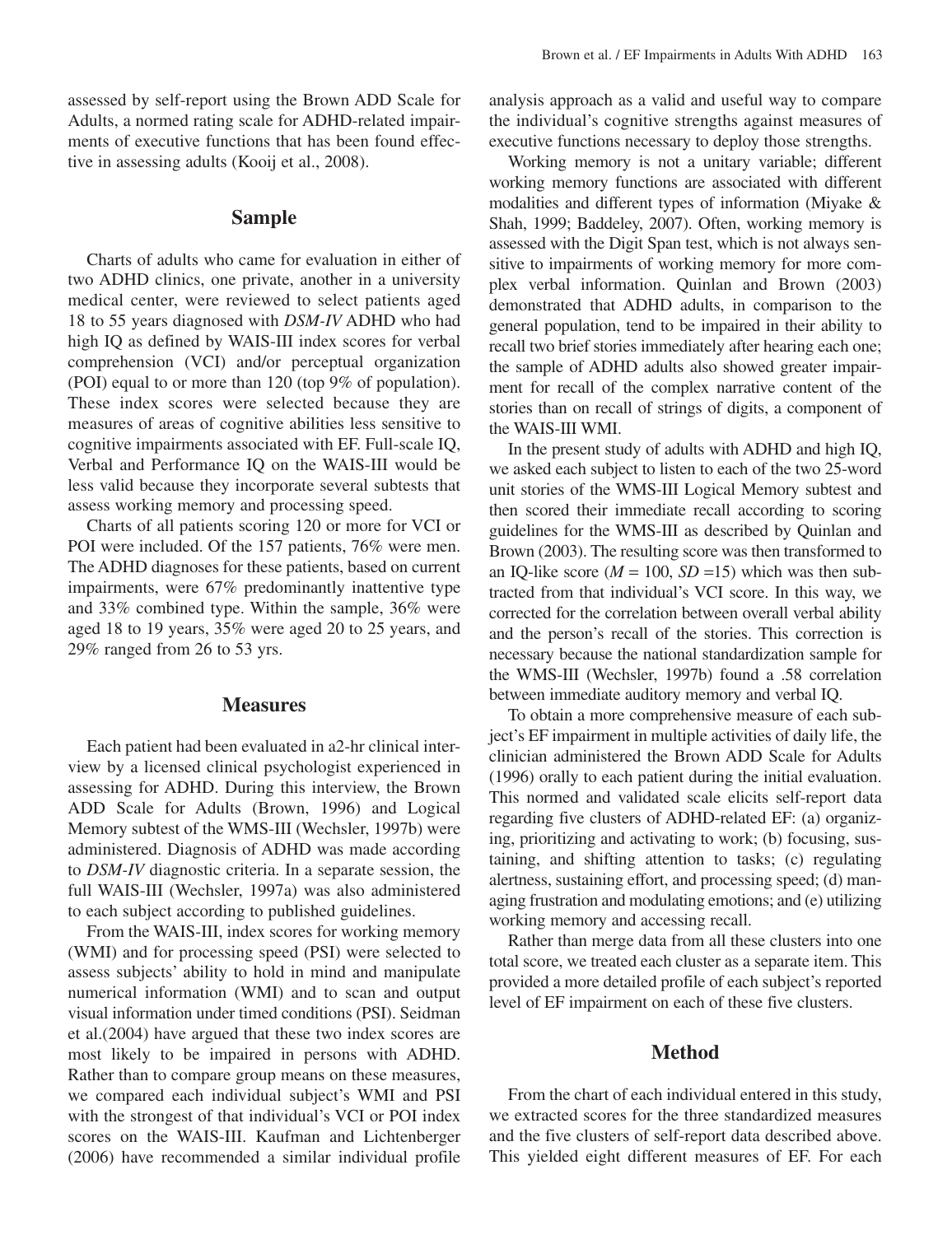assessed by self-report using the Brown ADD Scale for Adults, a normed rating scale for ADHD-related impairments of executive functions that has been found effective in assessing adults (Kooij et al., 2008).

## **Sample**

Charts of adults who came for evaluation in either of two ADHD clinics, one private, another in a university medical center, were reviewed to select patients aged 18 to 55 years diagnosed with *DSM-IV* ADHD who had high IQ as defined by WAIS-III index scores for verbal comprehension (VCI) and/or perceptual organization (POI) equal to or more than 120 (top 9% of population). These index scores were selected because they are measures of areas of cognitive abilities less sensitive to cognitive impairments associated with EF. Full-scale IQ, Verbal and Performance IQ on the WAIS-III would be less valid because they incorporate several subtests that assess working memory and processing speed.

Charts of all patients scoring 120 or more for VCI or POI were included. Of the 157 patients, 76% were men. The ADHD diagnoses for these patients, based on current impairments, were 67% predominantly inattentive type and 33% combined type. Within the sample, 36% were aged 18 to 19 years, 35% were aged 20 to 25 years, and 29% ranged from 26 to 53 yrs.

### **Measures**

Each patient had been evaluated in a2-hr clinical interview by a licensed clinical psychologist experienced in assessing for ADHD. During this interview, the Brown ADD Scale for Adults (Brown, 1996) and Logical Memory subtest of the WMS-III (Wechsler, 1997b) were administered. Diagnosis of ADHD was made according to *DSM-IV* diagnostic criteria. In a separate session, the full WAIS-III (Wechsler, 1997a) was also administered to each subject according to published guidelines.

From the WAIS-III, index scores for working memory (WMI) and for processing speed (PSI) were selected to assess subjects' ability to hold in mind and manipulate numerical information (WMI) and to scan and output visual information under timed conditions (PSI). Seidman et al.(2004) have argued that these two index scores are most likely to be impaired in persons with ADHD. Rather than to compare group means on these measures, we compared each individual subject's WMI and PSI with the strongest of that individual's VCI or POI index scores on the WAIS-III. Kaufman and Lichtenberger (2006) have recommended a similar individual profile

analysis approach as a valid and useful way to compare the individual's cognitive strengths against measures of executive functions necessary to deploy those strengths.

Working memory is not a unitary variable; different working memory functions are associated with different modalities and different types of information (Miyake & Shah, 1999; Baddeley, 2007). Often, working memory is assessed with the Digit Span test, which is not always sensitive to impairments of working memory for more complex verbal information. Quinlan and Brown (2003) demonstrated that ADHD adults, in comparison to the general population, tend to be impaired in their ability to recall two brief stories immediately after hearing each one; the sample of ADHD adults also showed greater impairment for recall of the complex narrative content of the stories than on recall of strings of digits, a component of the WAIS-III WMI.

In the present study of adults with ADHD and high IQ, we asked each subject to listen to each of the two 25-word unit stories of the WMS-III Logical Memory subtest and then scored their immediate recall according to scoring guidelines for the WMS-III as described by Quinlan and Brown (2003). The resulting score was then transformed to an IQ-like score ( $M = 100$ ,  $SD = 15$ ) which was then subtracted from that individual's VCI score. In this way, we corrected for the correlation between overall verbal ability and the person's recall of the stories. This correction is necessary because the national standardization sample for the WMS-III (Wechsler, 1997b) found a .58 correlation between immediate auditory memory and verbal IQ.

To obtain a more comprehensive measure of each subject's EF impairment in multiple activities of daily life, the clinician administered the Brown ADD Scale for Adults (1996) orally to each patient during the initial evaluation. This normed and validated scale elicits self-report data regarding five clusters of ADHD-related EF: (a) organizing, prioritizing and activating to work; (b) focusing, sustaining, and shifting attention to tasks; (c) regulating alertness, sustaining effort, and processing speed; (d) managing frustration and modulating emotions; and (e) utilizing working memory and accessing recall.

Rather than merge data from all these clusters into one total score, we treated each cluster as a separate item. This provided a more detailed profile of each subject's reported level of EF impairment on each of these five clusters.

## **Method**

From the chart of each individual entered in this study, we extracted scores for the three standardized measures and the five clusters of self-report data described above. This yielded eight different measures of EF. For each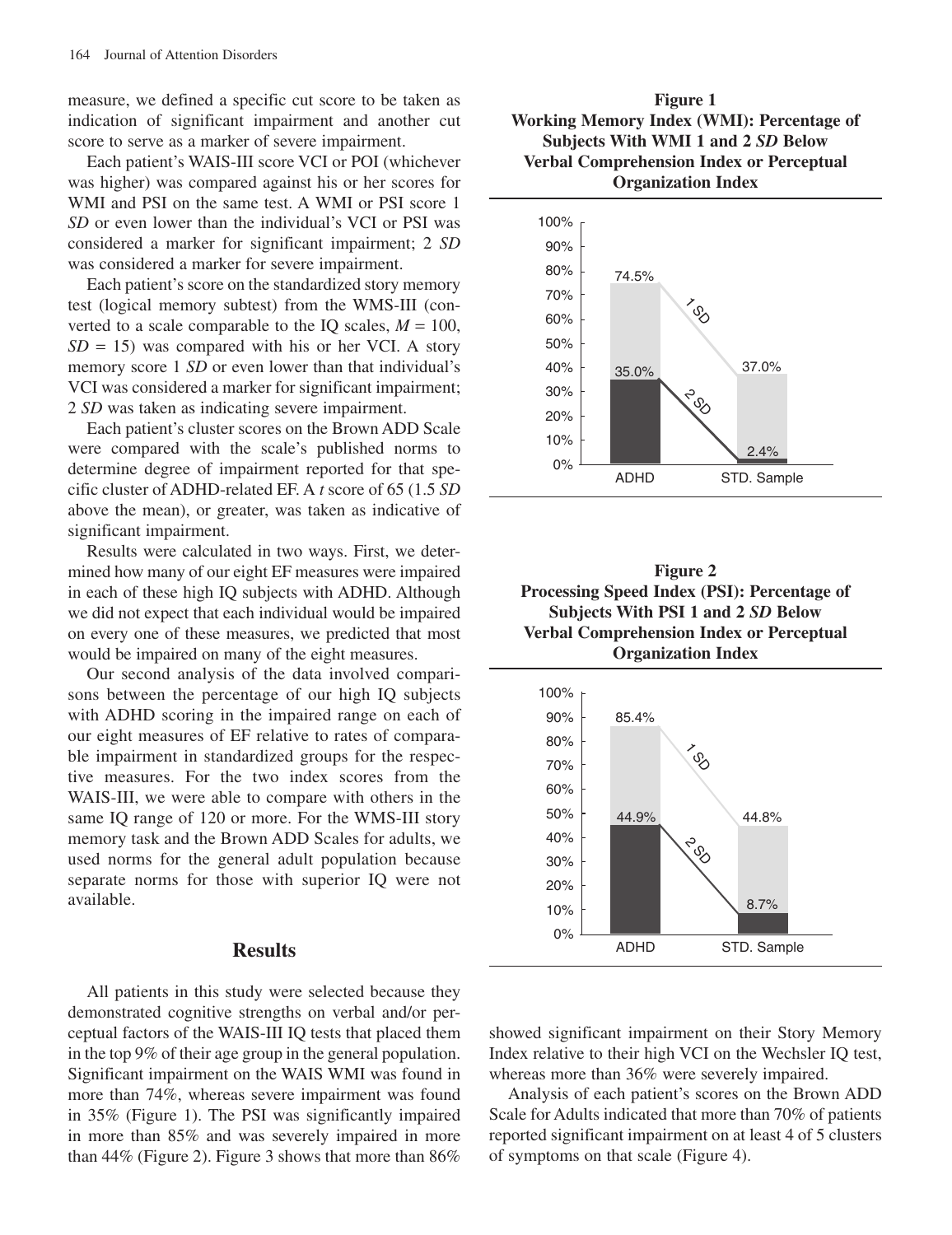measure, we defined a specific cut score to be taken as indication of significant impairment and another cut score to serve as a marker of severe impairment.

Each patient's WAIS-III score VCI or POI (whichever was higher) was compared against his or her scores for WMI and PSI on the same test. A WMI or PSI score 1 *SD* or even lower than the individual's VCI or PSI was considered a marker for significant impairment; 2 *SD* was considered a marker for severe impairment.

Each patient's score on the standardized story memory test (logical memory subtest) from the WMS-III (converted to a scale comparable to the IQ scales,  $M = 100$ ,  $SD = 15$ ) was compared with his or her VCI. A story memory score 1 *SD* or even lower than that individual's VCI was considered a marker for significant impairment; 2 *SD* was taken as indicating severe impairment.

Each patient's cluster scores on the Brown ADD Scale were compared with the scale's published norms to determine degree of impairment reported for that specific cluster of ADHD-related EF. A *t* score of 65 (1.5 *SD* above the mean), or greater, was taken as indicative of significant impairment.

Results were calculated in two ways. First, we determined how many of our eight EF measures were impaired in each of these high IQ subjects with ADHD. Although we did not expect that each individual would be impaired on every one of these measures, we predicted that most would be impaired on many of the eight measures.

Our second analysis of the data involved comparisons between the percentage of our high IQ subjects with ADHD scoring in the impaired range on each of our eight measures of EF relative to rates of comparable impairment in standardized groups for the respective measures. For the two index scores from the WAIS-III, we were able to compare with others in the same IQ range of 120 or more. For the WMS-III story memory task and the Brown ADD Scales for adults, we used norms for the general adult population because separate norms for those with superior IQ were not available.

## **Results**

All patients in this study were selected because they demonstrated cognitive strengths on verbal and/or perceptual factors of the WAIS-III IQ tests that placed them in the top 9% of their age group in the general population. Significant impairment on the WAIS WMI was found in more than 74%, whereas severe impairment was found in 35% (Figure 1). The PSI was significantly impaired in more than 85% and was severely impaired in more than  $44\%$  (Figure 2). Figure 3 shows that more than  $86\%$ 





**Figure 2 Processing Speed Index (PSI): Percentage of Subjects With PSI 1 and 2** *SD* **Below Verbal Comprehension Index or Perceptual Organization Index**



showed significant impairment on their Story Memory Index relative to their high VCI on the Wechsler IQ test, whereas more than 36% were severely impaired.

Analysis of each patient's scores on the Brown ADD Scale for Adults indicated that more than 70% of patients reported significant impairment on at least 4 of 5 clusters of symptoms on that scale (Figure 4).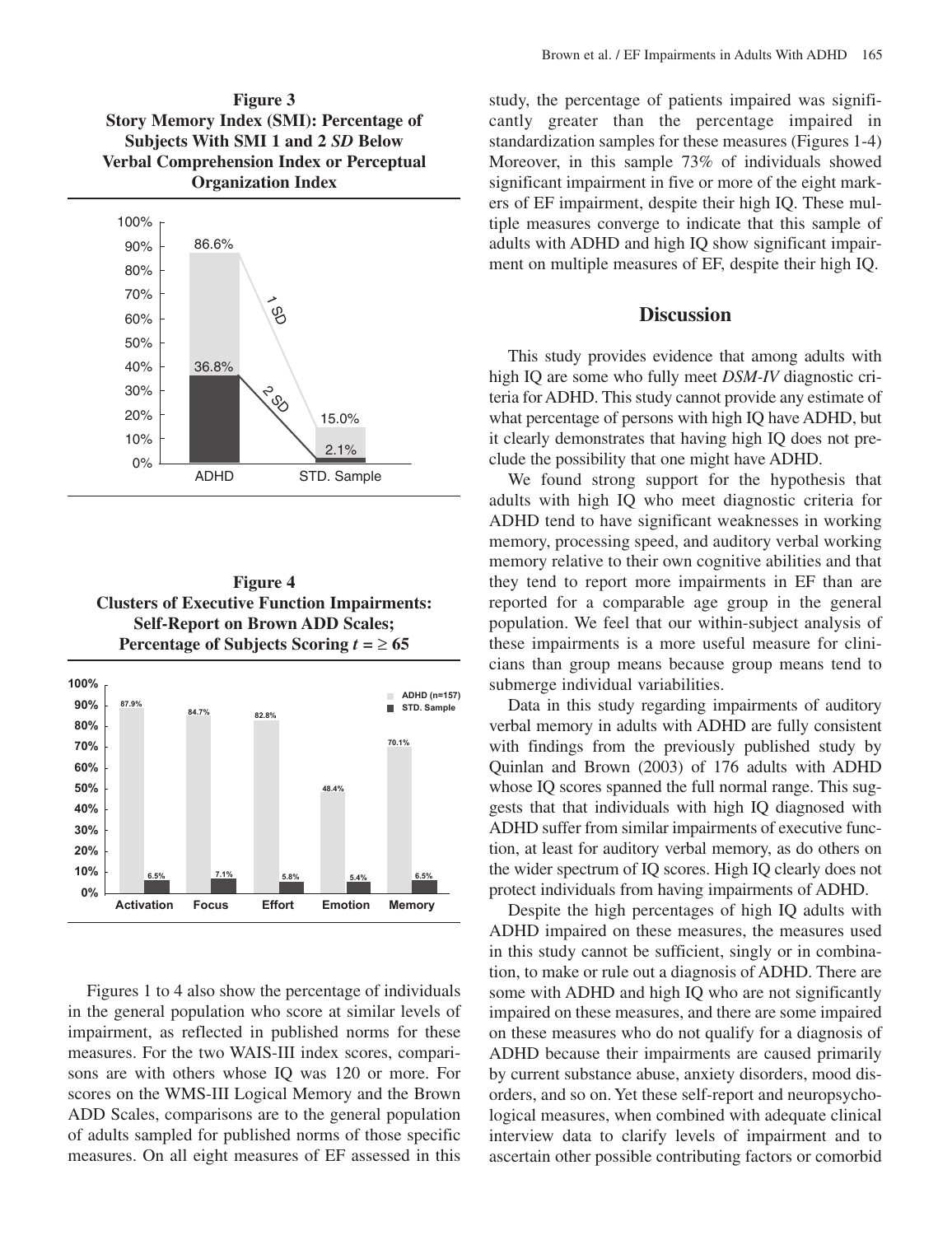







Figures 1 to 4 also show the percentage of individuals in the general population who score at similar levels of impairment, as reflected in published norms for these measures. For the two WAIS-III index scores, comparisons are with others whose IQ was 120 or more. For scores on the WMS-III Logical Memory and the Brown ADD Scales, comparisons are to the general population of adults sampled for published norms of those specific measures. On all eight measures of EF assessed in this study, the percentage of patients impaired was significantly greater than the percentage impaired in standardization samples for these measures (Figures 1-4) Moreover, in this sample 73% of individuals showed significant impairment in five or more of the eight markers of EF impairment, despite their high IQ. These multiple measures converge to indicate that this sample of adults with ADHD and high IQ show significant impairment on multiple measures of EF, despite their high IQ.

## **Discussion**

This study provides evidence that among adults with high IQ are some who fully meet *DSM-IV* diagnostic criteria for ADHD. This study cannot provide any estimate of what percentage of persons with high IQ have ADHD, but it clearly demonstrates that having high IQ does not preclude the possibility that one might have ADHD.

We found strong support for the hypothesis that adults with high IQ who meet diagnostic criteria for ADHD tend to have significant weaknesses in working memory, processing speed, and auditory verbal working memory relative to their own cognitive abilities and that they tend to report more impairments in EF than are reported for a comparable age group in the general population. We feel that our within-subject analysis of these impairments is a more useful measure for clinicians than group means because group means tend to submerge individual variabilities.

Data in this study regarding impairments of auditory verbal memory in adults with ADHD are fully consistent with findings from the previously published study by Quinlan and Brown (2003) of 176 adults with ADHD whose IQ scores spanned the full normal range. This suggests that that individuals with high IQ diagnosed with ADHD suffer from similar impairments of executive function, at least for auditory verbal memory, as do others on the wider spectrum of IQ scores. High IQ clearly does not protect individuals from having impairments of ADHD.

Despite the high percentages of high IQ adults with ADHD impaired on these measures, the measures used in this study cannot be sufficient, singly or in combination, to make or rule out a diagnosis of ADHD. There are some with ADHD and high IQ who are not significantly impaired on these measures, and there are some impaired on these measures who do not qualify for a diagnosis of ADHD because their impairments are caused primarily by current substance abuse, anxiety disorders, mood disorders, and so on. Yet these self-report and neuropsychological measures, when combined with adequate clinical interview data to clarify levels of impairment and to ascertain other possible contributing factors or comorbid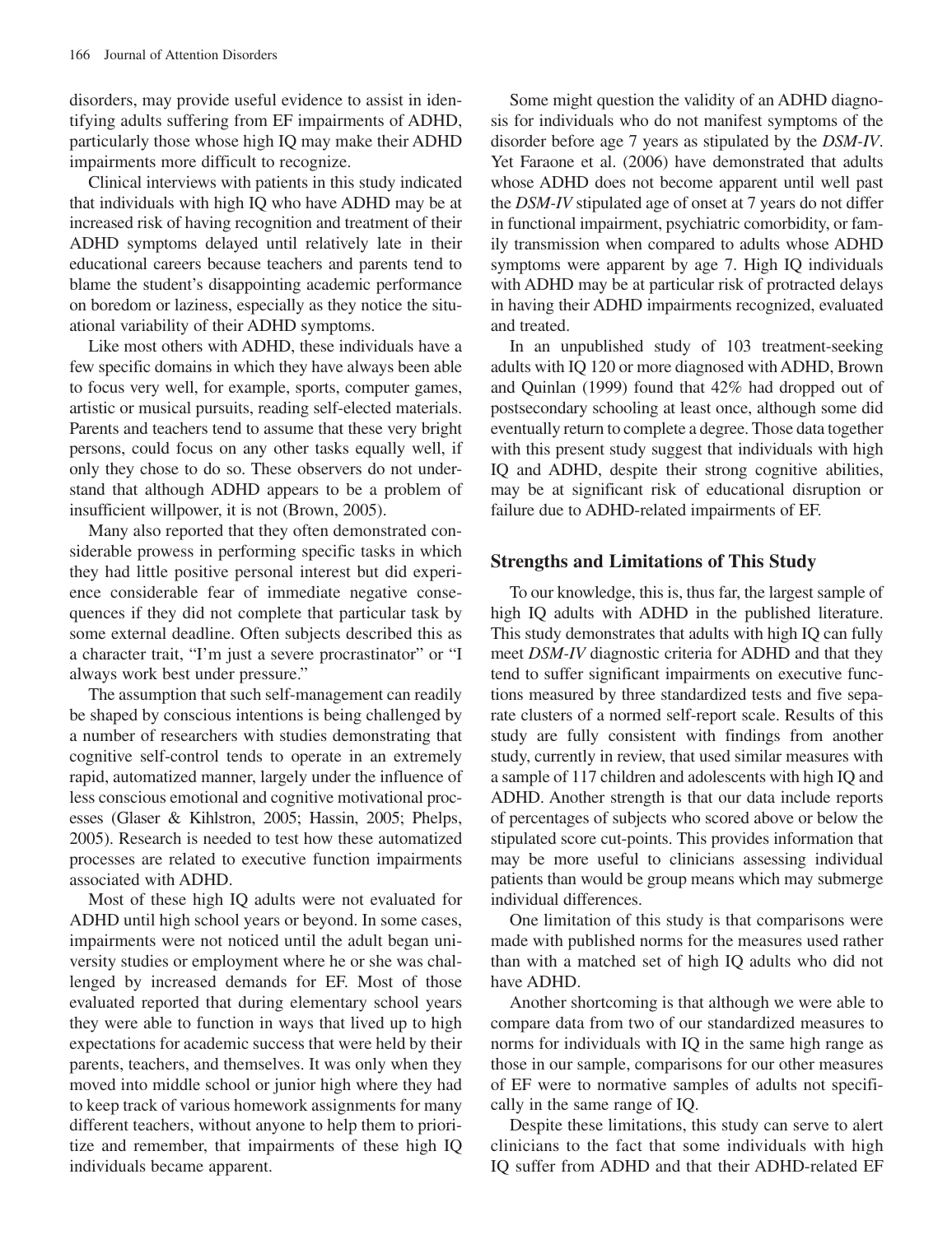disorders, may provide useful evidence to assist in identifying adults suffering from EF impairments of ADHD, particularly those whose high IQ may make their ADHD impairments more difficult to recognize.

Clinical interviews with patients in this study indicated that individuals with high IQ who have ADHD may be at increased risk of having recognition and treatment of their ADHD symptoms delayed until relatively late in their educational careers because teachers and parents tend to blame the student's disappointing academic performance on boredom or laziness, especially as they notice the situational variability of their ADHD symptoms.

Like most others with ADHD, these individuals have a few specific domains in which they have always been able to focus very well, for example, sports, computer games, artistic or musical pursuits, reading self-elected materials. Parents and teachers tend to assume that these very bright persons, could focus on any other tasks equally well, if only they chose to do so. These observers do not understand that although ADHD appears to be a problem of insufficient willpower, it is not (Brown, 2005).

Many also reported that they often demonstrated considerable prowess in performing specific tasks in which they had little positive personal interest but did experience considerable fear of immediate negative consequences if they did not complete that particular task by some external deadline. Often subjects described this as a character trait, "I'm just a severe procrastinator" or "I always work best under pressure."

The assumption that such self-management can readily be shaped by conscious intentions is being challenged by a number of researchers with studies demonstrating that cognitive self-control tends to operate in an extremely rapid, automatized manner, largely under the influence of less conscious emotional and cognitive motivational processes (Glaser & Kihlstron, 2005; Hassin, 2005; Phelps, 2005). Research is needed to test how these automatized processes are related to executive function impairments associated with ADHD.

Most of these high IQ adults were not evaluated for ADHD until high school years or beyond. In some cases, impairments were not noticed until the adult began university studies or employment where he or she was challenged by increased demands for EF. Most of those evaluated reported that during elementary school years they were able to function in ways that lived up to high expectations for academic success that were held by their parents, teachers, and themselves. It was only when they moved into middle school or junior high where they had to keep track of various homework assignments for many different teachers, without anyone to help them to prioritize and remember, that impairments of these high IQ individuals became apparent.

Some might question the validity of an ADHD diagnosis for individuals who do not manifest symptoms of the disorder before age 7 years as stipulated by the *DSM-IV*. Yet Faraone et al. (2006) have demonstrated that adults whose ADHD does not become apparent until well past the *DSM-IV* stipulated age of onset at 7 years do not differ in functional impairment, psychiatric comorbidity, or family transmission when compared to adults whose ADHD symptoms were apparent by age 7. High IQ individuals with ADHD may be at particular risk of protracted delays in having their ADHD impairments recognized, evaluated and treated.

In an unpublished study of 103 treatment-seeking adults with IQ 120 or more diagnosed with ADHD, Brown and Quinlan (1999) found that 42% had dropped out of postsecondary schooling at least once, although some did eventually return to complete a degree. Those data together with this present study suggest that individuals with high IQ and ADHD, despite their strong cognitive abilities, may be at significant risk of educational disruption or failure due to ADHD-related impairments of EF.

## **Strengths and Limitations of This Study**

To our knowledge, this is, thus far, the largest sample of high IQ adults with ADHD in the published literature. This study demonstrates that adults with high IQ can fully meet *DSM-IV* diagnostic criteria for ADHD and that they tend to suffer significant impairments on executive functions measured by three standardized tests and five separate clusters of a normed self-report scale. Results of this study are fully consistent with findings from another study, currently in review, that used similar measures with a sample of 117 children and adolescents with high IQ and ADHD. Another strength is that our data include reports of percentages of subjects who scored above or below the stipulated score cut-points. This provides information that may be more useful to clinicians assessing individual patients than would be group means which may submerge individual differences.

One limitation of this study is that comparisons were made with published norms for the measures used rather than with a matched set of high IQ adults who did not have ADHD.

Another shortcoming is that although we were able to compare data from two of our standardized measures to norms for individuals with IQ in the same high range as those in our sample, comparisons for our other measures of EF were to normative samples of adults not specifically in the same range of IQ.

Despite these limitations, this study can serve to alert clinicians to the fact that some individuals with high IQ suffer from ADHD and that their ADHD-related EF